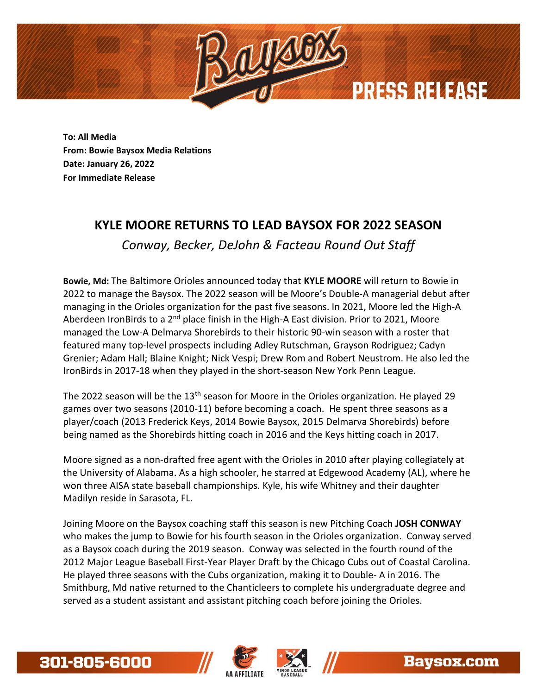

**To: All Media From: Bowie Baysox Media Relations Date: January 26, 2022 For Immediate Release**

## **KYLE MOORE RETURNS TO LEAD BAYSOX FOR 2022 SEASON**

*Conway, Becker, DeJohn & Facteau Round Out Staff*

**Bowie, Md:** The Baltimore Orioles announced today that **KYLE MOORE** will return to Bowie in 2022 to manage the Baysox. The 2022 season will be Moore's Double-A managerial debut after managing in the Orioles organization for the past five seasons. In 2021, Moore led the High-A Aberdeen IronBirds to a 2<sup>nd</sup> place finish in the High-A East division. Prior to 2021, Moore managed the Low-A Delmarva Shorebirds to their historic 90-win season with a roster that featured many top-level prospects including Adley Rutschman, Grayson Rodriguez; Cadyn Grenier; Adam Hall; Blaine Knight; Nick Vespi; Drew Rom and Robert Neustrom. He also led the IronBirds in 2017-18 when they played in the short-season New York Penn League.

The 2022 season will be the 13<sup>th</sup> season for Moore in the Orioles organization. He played 29 games over two seasons (2010-11) before becoming a coach. He spent three seasons as a player/coach (2013 Frederick Keys, 2014 Bowie Baysox, 2015 Delmarva Shorebirds) before being named as the Shorebirds hitting coach in 2016 and the Keys hitting coach in 2017.

Moore signed as a non-drafted free agent with the Orioles in 2010 after playing collegiately at the University of Alabama. As a high schooler, he starred at Edgewood Academy (AL), where he won three AISA state baseball championships. Kyle, his wife Whitney and their daughter Madilyn reside in Sarasota, FL.

Joining Moore on the Baysox coaching staff this season is new Pitching Coach **JOSH CONWAY** who makes the jump to Bowie for his fourth season in the Orioles organization. Conway served as a Baysox coach during the 2019 season. Conway was selected in the fourth round of the 2012 Major League Baseball First-Year Player Draft by the Chicago Cubs out of Coastal Carolina. He played three seasons with the Cubs organization, making it to Double- A in 2016. The Smithburg, Md native returned to the Chanticleers to complete his undergraduate degree and served as a student assistant and assistant pitching coach before joining the Orioles.